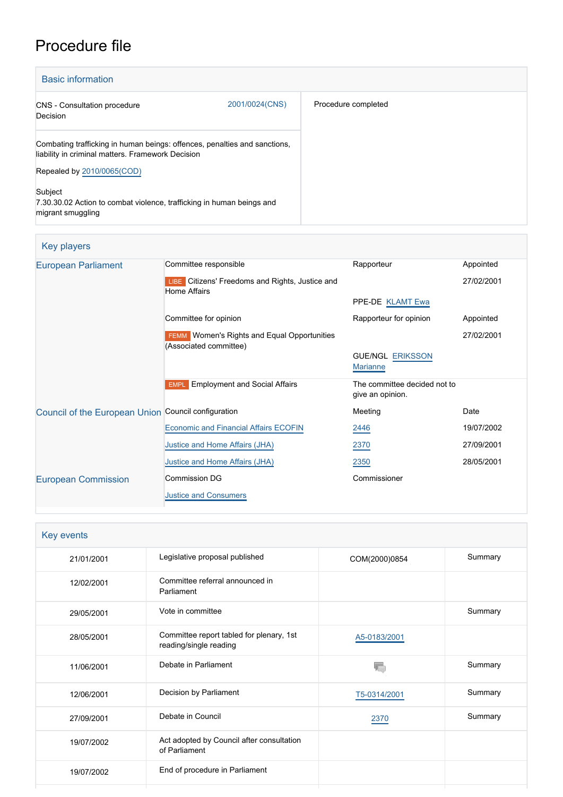# Procedure file

| <b>Basic information</b>                                                                                                       |                |                     |  |  |
|--------------------------------------------------------------------------------------------------------------------------------|----------------|---------------------|--|--|
| <b>CNS</b> - Consultation procedure<br>Decision                                                                                | 2001/0024(CNS) | Procedure completed |  |  |
| Combating trafficking in human beings: offences, penalties and sanctions,<br>liability in criminal matters. Framework Decision |                |                     |  |  |
| Repealed by 2010/0065(COD)                                                                                                     |                |                     |  |  |
| Subject<br>7.30.30.02 Action to combat violence, trafficking in human beings and<br>migrant smuggling                          |                |                     |  |  |

| Key players                                         |                                                                              |                                                  |            |
|-----------------------------------------------------|------------------------------------------------------------------------------|--------------------------------------------------|------------|
| <b>European Parliament</b>                          | Committee responsible                                                        | Rapporteur                                       | Appointed  |
|                                                     | LIBE Citizens' Freedoms and Rights, Justice and<br>Home Affairs              |                                                  | 27/02/2001 |
|                                                     |                                                                              | PPE-DE KLAMT Ewa                                 |            |
|                                                     | Committee for opinion                                                        | Rapporteur for opinion                           | Appointed  |
|                                                     | <b>FEMM</b> Women's Rights and Equal Opportunities<br>(Associated committee) |                                                  | 27/02/2001 |
|                                                     |                                                                              | <b>GUE/NGL ERIKSSON</b><br><b>Marianne</b>       |            |
|                                                     | <b>Employment and Social Affairs</b><br><b>EMPL</b>                          | The committee decided not to<br>give an opinion. |            |
| Council of the European Union Council configuration |                                                                              | Meeting                                          | Date       |
|                                                     | <b>Economic and Financial Affairs ECOFIN</b>                                 | 2446                                             | 19/07/2002 |
|                                                     | Justice and Home Affairs (JHA)                                               | 2370                                             | 27/09/2001 |
|                                                     | Justice and Home Affairs (JHA)                                               | 2350                                             | 28/05/2001 |
| <b>European Commission</b>                          | <b>Commission DG</b>                                                         | Commissioner                                     |            |
|                                                     | <b>Justice and Consumers</b>                                                 |                                                  |            |

| Key events |                                                                    |               |         |  |
|------------|--------------------------------------------------------------------|---------------|---------|--|
| 21/01/2001 | Legislative proposal published                                     | COM(2000)0854 | Summary |  |
| 12/02/2001 | Committee referral announced in<br>Parliament                      |               |         |  |
| 29/05/2001 | Vote in committee                                                  |               | Summary |  |
| 28/05/2001 | Committee report tabled for plenary, 1st<br>reading/single reading | A5-0183/2001  |         |  |
| 11/06/2001 | Debate in Parliament                                               |               | Summary |  |
| 12/06/2001 | Decision by Parliament                                             | T5-0314/2001  | Summary |  |
| 27/09/2001 | Debate in Council                                                  | 2370          | Summary |  |
| 19/07/2002 | Act adopted by Council after consultation<br>of Parliament         |               |         |  |
| 19/07/2002 | End of procedure in Parliament                                     |               |         |  |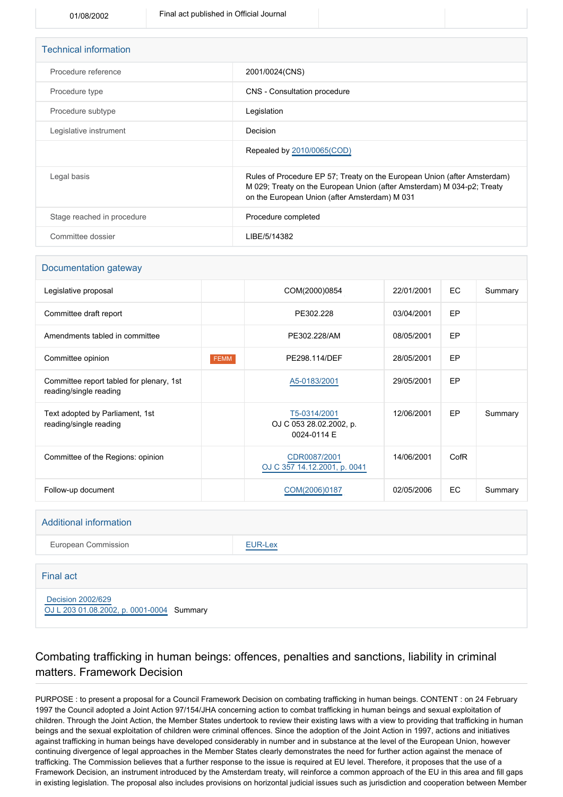| <b>Technical information</b> |                                                                                                                                                                                                     |
|------------------------------|-----------------------------------------------------------------------------------------------------------------------------------------------------------------------------------------------------|
| Procedure reference          | 2001/0024(CNS)                                                                                                                                                                                      |
| Procedure type               | CNS - Consultation procedure                                                                                                                                                                        |
| Procedure subtype            | Legislation                                                                                                                                                                                         |
| Legislative instrument       | Decision                                                                                                                                                                                            |
|                              | Repealed by 2010/0065(COD)                                                                                                                                                                          |
| Legal basis                  | Rules of Procedure EP 57; Treaty on the European Union (after Amsterdam)<br>M 029; Treaty on the European Union (after Amsterdam) M 034-p2; Treaty<br>on the European Union (after Amsterdam) M 031 |
| Stage reached in procedure   | Procedure completed                                                                                                                                                                                 |
| Committee dossier            | LIBE/5/14382                                                                                                                                                                                        |

#### Documentation gateway

| Legislative proposal                                               |             | COM(2000)0854                                          | 22/01/2001 | <b>EC</b> | Summary |
|--------------------------------------------------------------------|-------------|--------------------------------------------------------|------------|-----------|---------|
| Committee draft report                                             |             | PE302.228                                              | 03/04/2001 | EP        |         |
| Amendments tabled in committee                                     |             | PE302.228/AM                                           | 08/05/2001 | EP        |         |
| Committee opinion                                                  | <b>FEMM</b> | PE298.114/DEF                                          | 28/05/2001 | EP        |         |
| Committee report tabled for plenary, 1st<br>reading/single reading |             | A5-0183/2001                                           | 29/05/2001 | EP        |         |
| Text adopted by Parliament, 1st<br>reading/single reading          |             | T5-0314/2001<br>OJ C 053 28.02.2002, p.<br>0024-0114 E | 12/06/2001 | EP        | Summary |
| Committee of the Regions: opinion                                  |             | CDR0087/2001<br>OJ C 357 14.12.2001, p. 0041           | 14/06/2001 | CofR      |         |
| Follow-up document                                                 |             | COM(2006)0187                                          | 02/05/2006 | <b>EC</b> | Summary |

#### Additional information

European Commission **[EUR-Lex](http://ec.europa.eu/prelex/liste_resultats.cfm?CL=en&ReqId=0&DocType=CNS&DocYear=2001&DocNum=0024)** 

#### Final act

 [Decision 2002/629](https://eur-lex.europa.eu/smartapi/cgi/sga_doc?smartapi!celexplus!prod!CELEXnumdoc&lg=EN&numdoc=32002D0629) [OJ L 203 01.08.2002, p. 0001-0004](https://eur-lex.europa.eu/JOHtml.do?uri=OJ:L:2002:203:SOM:EN:HTML) Summary

# Combating trafficking in human beings: offences, penalties and sanctions, liability in criminal

matters. Framework Decision

PURPOSE : to present a proposal for a Council Framework Decision on combating trafficking in human beings. CONTENT : on 24 February 1997 the Council adopted a Joint Action 97/154/JHA concerning action to combat trafficking in human beings and sexual exploitation of children. Through the Joint Action, the Member States undertook to review their existing laws with a view to providing that trafficking in human beings and the sexual exploitation of children were criminal offences. Since the adoption of the Joint Action in 1997, actions and initiatives against trafficking in human beings have developed considerably in number and in substance at the level of the European Union, however continuing divergence of legal approaches in the Member States clearly demonstrates the need for further action against the menace of trafficking. The Commission believes that a further response to the issue is required at EU level. Therefore, it proposes that the use of a Framework Decision, an instrument introduced by the Amsterdam treaty, will reinforce a common approach of the EU in this area and fill gaps in existing legislation. The proposal also includes provisions on horizontal judicial issues such as jurisdiction and cooperation between Member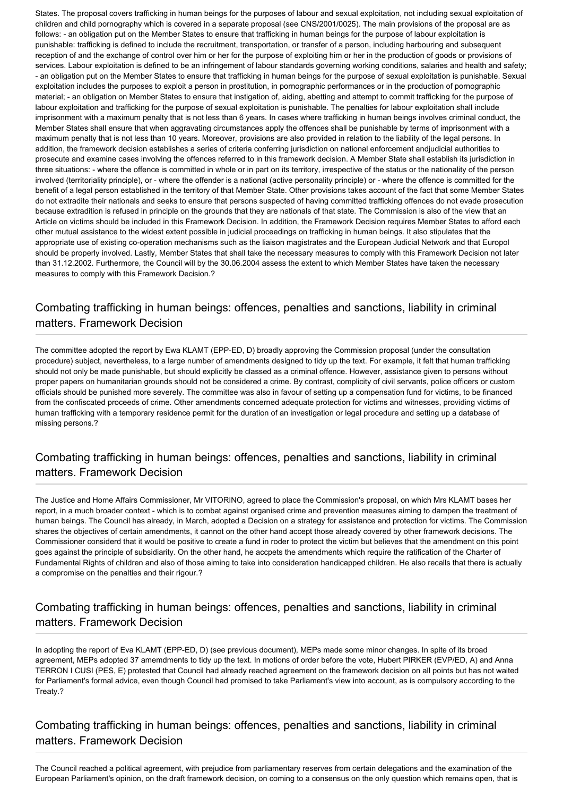States. The proposal covers trafficking in human beings for the purposes of labour and sexual exploitation, not including sexual exploitation of children and child pornography which is covered in a separate proposal (see CNS/2001/0025). The main provisions of the proposal are as follows: - an obligation put on the Member States to ensure that trafficking in human beings for the purpose of labour exploitation is punishable: trafficking is defined to include the recruitment, transportation, or transfer of a person, including harbouring and subsequent reception of and the exchange of control over him or her for the purpose of exploiting him or her in the production of goods or provisions of services. Labour exploitation is defined to be an infringement of labour standards governing working conditions, salaries and health and safety; - an obligation put on the Member States to ensure that trafficking in human beings for the purpose of sexual exploitation is punishable. Sexual exploitation includes the purposes to exploit a person in prostitution, in pornographic performances or in the production of pornographic material; - an obligation on Member States to ensure that instigation of, aiding, abetting and attempt to commit trafficking for the purpose of labour exploitation and trafficking for the purpose of sexual exploitation is punishable. The penalties for labour exploitation shall include imprisonment with a maximum penalty that is not less than 6 years. In cases where trafficking in human beings involves criminal conduct, the Member States shall ensure that when aggravating circumstances apply the offences shall be punishable by terms of imprisonment with a maximum penalty that is not less than 10 years. Moreover, provisions are also provided in relation to the liability of the legal persons. In addition, the framework decision establishes a series of criteria conferring jurisdiction on national enforcement andjudicial authorities to prosecute and examine cases involving the offences referred to in this framework decision. A Member State shall establish its jurisdiction in three situations: - where the offence is committed in whole or in part on its territory, irrespective of the status or the nationality of the person involved (territoriality principle), or - where the offender is a national (active personality principle) or - where the offence is committed for the benefit of a legal person established in the territory of that Member State. Other provisions takes account of the fact that some Member States do not extradite their nationals and seeks to ensure that persons suspected of having committed trafficking offences do not evade prosecution because extradition is refused in principle on the grounds that they are nationals of that state. The Commission is also of the view that an Article on victims should be included in this Framework Decision. In addition, the Framework Decision requires Member States to afford each other mutual assistance to the widest extent possible in judicial proceedings on trafficking in human beings. It also stipulates that the appropriate use of existing co-operation mechanisms such as the liaison magistrates and the European Judicial Network and that Europol should be properly involved. Lastly, Member States that shall take the necessary measures to comply with this Framework Decision not later than 31.12.2002. Furthermore, the Council will by the 30.06.2004 assess the extent to which Member States have taken the necessary measures to comply with this Framework Decision.?

## Combating trafficking in human beings: offences, penalties and sanctions, liability in criminal matters. Framework Decision

The committee adopted the report by Ewa KLAMT (EPP-ED, D) broadly approving the Commission proposal (under the consultation procedure) subject, nevertheless, to a large number of amendments designed to tidy up the text. For example, it felt that human trafficking should not only be made punishable, but should explicitly be classed as a criminal offence. However, assistance given to persons without proper papers on humanitarian grounds should not be considered a crime. By contrast, complicity of civil servants, police officers or custom officials should be punished more severely. The committee was also in favour of setting up a compensation fund for victims, to be financed from the confiscated proceeds of crime. Other amendments concerned adequate protection for victims and witnesses, providing victims of human trafficking with a temporary residence permit for the duration of an investigation or legal procedure and setting up a database of missing persons.?

#### Combating trafficking in human beings: offences, penalties and sanctions, liability in criminal matters. Framework Decision

The Justice and Home Affairs Commissioner, Mr VITORINO, agreed to place the Commission's proposal, on which Mrs KLAMT bases her report, in a much broader context - which is to combat against organised crime and prevention measures aiming to dampen the treatment of human beings. The Council has already, in March, adopted a Decision on a strategy for assistance and protection for victims. The Commission shares the objectives of certain amendments, it cannot on the other hand accept those already covered by other framework decisions. The Commissioner considerd that it would be positive to create a fund in roder to protect the victim but believes that the amendment on this point goes against the principle of subsidiarity. On the other hand, he accpets the amendments which require the ratification of the Charter of Fundamental Rights of children and also of those aiming to take into consideration handicapped children. He also recalls that there is actually a compromise on the penalties and their rigour.?

### Combating trafficking in human beings: offences, penalties and sanctions, liability in criminal matters. Framework Decision

In adopting the report of Eva KLAMT (EPP-ED, D) (see previous document), MEPs made some minor changes. In spite of its broad agreement, MEPs adopted 37 amemdments to tidy up the text. In motions of order before the vote, Hubert PIRKER (EVP/ED, A) and Anna TERRON I CUSI (PES, E) protested that Council had already reached agreement on the framework decision on all points but has not waited for Parliament's formal advice, even though Council had promised to take Parliament's view into account, as is compulsory according to the Treaty.?

Combating trafficking in human beings: offences, penalties and sanctions, liability in criminal matters. Framework Decision

The Council reached a political agreement, with prejudice from parliamentary reserves from certain delegations and the examination of the European Parliament's opinion, on the draft framework decision, on coming to a consensus on the only question which remains open, that is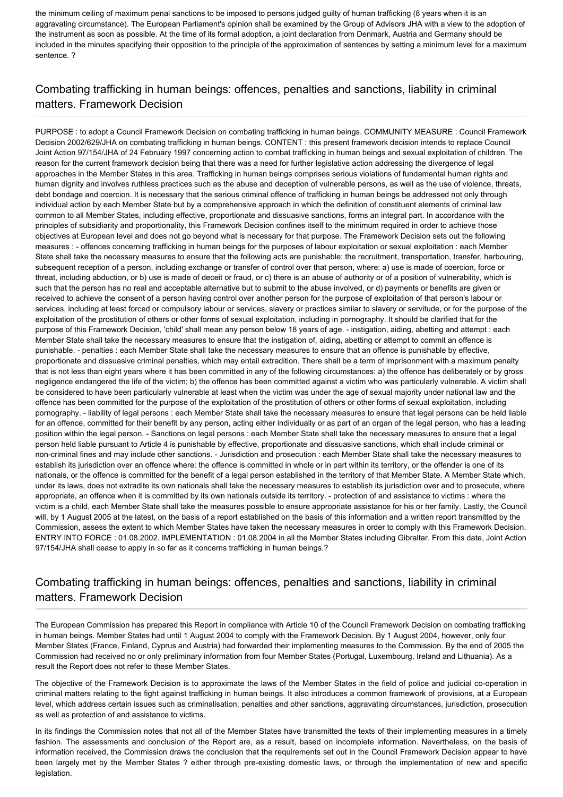the minimum ceiling of maximum penal sanctions to be imposed to persons judged guilty of human trafficking (8 years when it is an aggravating circumstance). The European Parliament's opinion shall be examined by the Group of Advisors JHA with a view to the adoption of the instrument as soon as possible. At the time of its formal adoption, a joint declaration from Denmark, Austria and Germany should be included in the minutes specifying their opposition to the principle of the approximation of sentences by setting a minimum level for a maximum sentence. ?

# Combating trafficking in human beings: offences, penalties and sanctions, liability in criminal matters. Framework Decision

PURPOSE : to adopt a Council Framework Decision on combating trafficking in human beings. COMMUNITY MEASURE : Council Framework Decision 2002/629/JHA on combating trafficking in human beings. CONTENT : this present framework decision intends to replace Council Joint Action 97/154/JHA of 24 February 1997 concerning action to combat trafficking in human beings and sexual exploitation of children. The reason for the current framework decision being that there was a need for further legislative action addressing the divergence of legal approaches in the Member States in this area. Trafficking in human beings comprises serious violations of fundamental human rights and human dignity and involves ruthless practices such as the abuse and deception of vulnerable persons, as well as the use of violence, threats, debt bondage and coercion. It is necessary that the serious criminal offence of trafficking in human beings be addressed not only through individual action by each Member State but by a comprehensive approach in which the definition of constituent elements of criminal law common to all Member States, including effective, proportionate and dissuasive sanctions, forms an integral part. In accordance with the principles of subsidiarity and proportionality, this Framework Decision confines itself to the minimum required in order to achieve those objectives at European level and does not go beyond what is necessary for that purpose. The Framework Decision sets out the following measures : - offences concerning trafficking in human beings for the purposes of labour exploitation or sexual exploitation : each Member State shall take the necessary measures to ensure that the following acts are punishable: the recruitment, transportation, transfer, harbouring, subsequent reception of a person, including exchange or transfer of control over that person, where: a) use is made of coercion, force or threat, including abduction, or b) use is made of deceit or fraud, or c) there is an abuse of authority or of a position of vulnerability, which is such that the person has no real and acceptable alternative but to submit to the abuse involved, or d) payments or benefits are given or received to achieve the consent of a person having control over another person for the purpose of exploitation of that person's labour or services, including at least forced or compulsory labour or services, slavery or practices similar to slavery or servitude, or for the purpose of the exploitation of the prostitution of others or other forms of sexual exploitation, including in pornography. It should be clarified that for the purpose of this Framework Decision, 'child' shall mean any person below 18 years of age. - instigation, aiding, abetting and attempt : each Member State shall take the necessary measures to ensure that the instigation of, aiding, abetting or attempt to commit an offence is punishable. - penalties : each Member State shall take the necessary measures to ensure that an offence is punishable by effective, proportionate and dissuasive criminal penalties, which may entail extradition. There shall be a term of imprisonment with a maximum penalty that is not less than eight years where it has been committed in any of the following circumstances: a) the offence has deliberately or by gross negligence endangered the life of the victim; b) the offence has been committed against a victim who was particularly vulnerable. A victim shall be considered to have been particularly vulnerable at least when the victim was under the age of sexual majority under national law and the offence has been committed for the purpose of the exploitation of the prostitution of others or other forms of sexual exploitation, including pornography. - liability of legal persons : each Member State shall take the necessary measures to ensure that legal persons can be held liable for an offence, committed for their benefit by any person, acting either individually or as part of an organ of the legal person, who has a leading position within the legal person. - Sanctions on legal persons : each Member State shall take the necessary measures to ensure that a legal person held liable pursuant to Article 4 is punishable by effective, proportionate and dissuasive sanctions, which shall include criminal or non-criminal fines and may include other sanctions. - Jurisdiction and prosecution : each Member State shall take the necessary measures to establish its jurisdiction over an offence where: the offence is committed in whole or in part within its territory, or the offender is one of its nationals, or the offence is committed for the benefit of a legal person established in the territory of that Member State. A Member State which, under its laws, does not extradite its own nationals shall take the necessary measures to establish its jurisdiction over and to prosecute, where appropriate, an offence when it is committed by its own nationals outside its territory. - protection of and assistance to victims : where the victim is a child, each Member State shall take the measures possible to ensure appropriate assistance for his or her family. Lastly, the Council will, by 1 August 2005 at the latest, on the basis of a report established on the basis of this information and a written report transmitted by the Commission, assess the extent to which Member States have taken the necessary measures in order to comply with this Framework Decision. ENTRY INTO FORCE : 01.08.2002. IMPLEMENTATION : 01.08.2004 in all the Member States including Gibraltar. From this date, Joint Action 97/154/JHA shall cease to apply in so far as it concerns trafficking in human beings.?

### Combating trafficking in human beings: offences, penalties and sanctions, liability in criminal matters. Framework Decision

The European Commission has prepared this Report in compliance with Article 10 of the Council Framework Decision on combating trafficking in human beings. Member States had until 1 August 2004 to comply with the Framework Decision. By 1 August 2004, however, only four Member States (France, Finland, Cyprus and Austria) had forwarded their implementing measures to the Commission. By the end of 2005 the Commission had received no or only preliminary information from four Member States (Portugal, Luxembourg, Ireland and Lithuania). As a result the Report does not refer to these Member States.

The objective of the Framework Decision is to approximate the laws of the Member States in the field of police and judicial co-operation in criminal matters relating to the fight against trafficking in human beings. It also introduces a common framework of provisions, at a European level, which address certain issues such as criminalisation, penalties and other sanctions, aggravating circumstances, jurisdiction, prosecution as well as protection of and assistance to victims.

In its findings the Commission notes that not all of the Member States have transmitted the texts of their implementing measures in a timely fashion. The assessments and conclusion of the Report are, as a result, based on incomplete information. Nevertheless, on the basis of information received, the Commission draws the conclusion that the requirements set out in the Council Framework Decision appear to have been largely met by the Member States ? either through pre-existing domestic laws, or through the implementation of new and specific legislation.